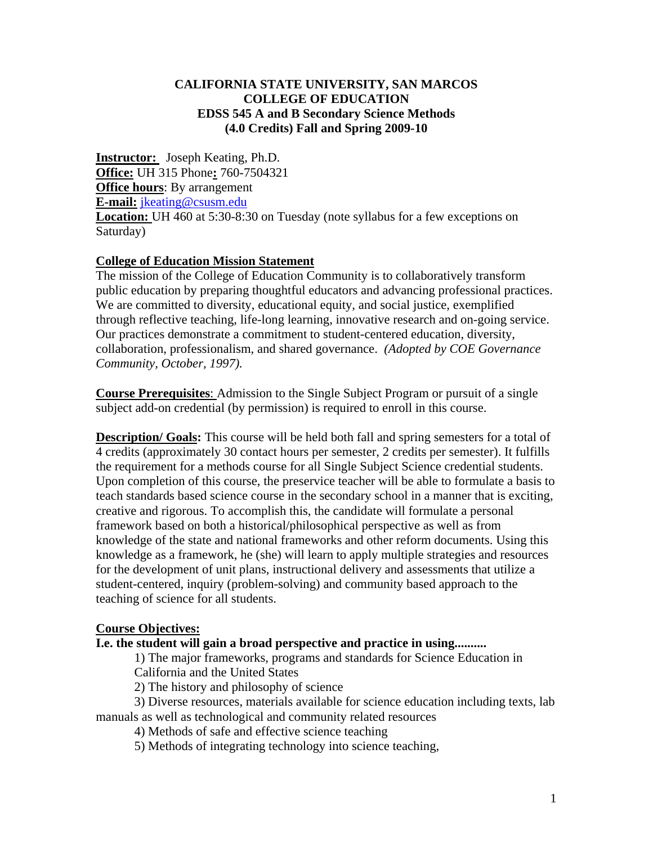#### **CALIFORNIA STATE UNIVERSITY, SAN MARCOS COLLEGE OF EDUCATION EDSS 545 A and B Secondary Science Methods (4.0 Credits) Fall and Spring 2009-10**

**Instructor:** Joseph Keating, Ph.D. **Office:** UH 315 Phone**:** 760-7504321 **Office hours**: By arrangement **E-mail:** jkeating@csusm.edu **Location:** UH 460 at 5:30-8:30 on Tuesday (note syllabus for a few exceptions on Saturday)

## **College of Education Mission Statement**

The mission of the College of Education Community is to collaboratively transform public education by preparing thoughtful educators and advancing professional practices. We are committed to diversity, educational equity, and social justice, exemplified through reflective teaching, life-long learning, innovative research and on-going service. Our practices demonstrate a commitment to student-centered education, diversity, collaboration, professionalism, and shared governance. *(Adopted by COE Governance Community, October, 1997).* 

**Course Prerequisites**: Admission to the Single Subject Program or pursuit of a single subject add-on credential (by permission) is required to enroll in this course.

**Description/ Goals:** This course will be held both fall and spring semesters for a total of 4 credits (approximately 30 contact hours per semester, 2 credits per semester). It fulfills the requirement for a methods course for all Single Subject Science credential students. Upon completion of this course, the preservice teacher will be able to formulate a basis to teach standards based science course in the secondary school in a manner that is exciting, creative and rigorous. To accomplish this, the candidate will formulate a personal framework based on both a historical/philosophical perspective as well as from knowledge of the state and national frameworks and other reform documents. Using this knowledge as a framework, he (she) will learn to apply multiple strategies and resources for the development of unit plans, instructional delivery and assessments that utilize a student-centered, inquiry (problem-solving) and community based approach to the teaching of science for all students.

#### **Course Objectives:**

#### **I.e. the student will gain a broad perspective and practice in using..........**

1) The major frameworks, programs and standards for Science Education in California and the United States

2) The history and philosophy of science

3) Diverse resources, materials available for science education including texts, lab manuals as well as technological and community related resources

4) Methods of safe and effective science teaching

5) Methods of integrating technology into science teaching,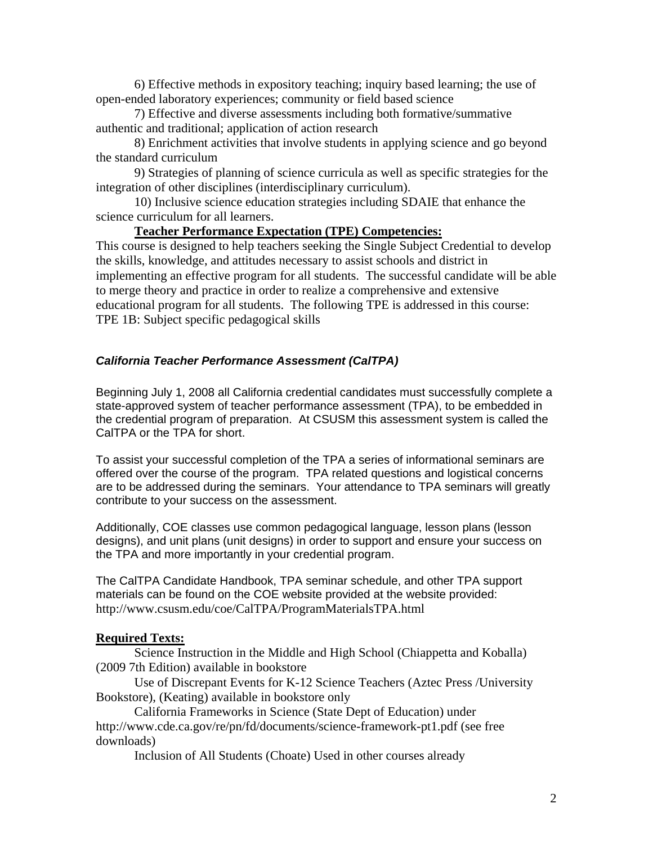6) Effective methods in expository teaching; inquiry based learning; the use of open-ended laboratory experiences; community or field based science

7) Effective and diverse assessments including both formative/summative authentic and traditional; application of action research

8) Enrichment activities that involve students in applying science and go beyond the standard curriculum

9) Strategies of planning of science curricula as well as specific strategies for the integration of other disciplines (interdisciplinary curriculum).

10) Inclusive science education strategies including SDAIE that enhance the science curriculum for all learners.

#### **Teacher Performance Expectation (TPE) Competencies:**

This course is designed to help teachers seeking the Single Subject Credential to develop the skills, knowledge, and attitudes necessary to assist schools and district in implementing an effective program for all students. The successful candidate will be able to merge theory and practice in order to realize a comprehensive and extensive educational program for all students. The following TPE is addressed in this course: TPE 1B: Subject specific pedagogical skills

#### *California Teacher Performance Assessment (CalTPA)*

Beginning July 1, 2008 all California credential candidates must successfully complete a state-approved system of teacher performance assessment (TPA), to be embedded in the credential program of preparation. At CSUSM this assessment system is called the CalTPA or the TPA for short.

To assist your successful completion of the TPA a series of informational seminars are offered over the course of the program. TPA related questions and logistical concerns are to be addressed during the seminars. Your attendance to TPA seminars will greatly contribute to your success on the assessment.

Additionally, COE classes use common pedagogical language, lesson plans (lesson designs), and unit plans (unit designs) in order to support and ensure your success on the TPA and more importantly in your credential program.

The CalTPA Candidate Handbook, TPA seminar schedule, and other TPA support materials can be found on the COE website provided at the website provided: http://www.csusm.edu/coe/CalTPA/ProgramMaterialsTPA.html

## **Required Texts:**

Science Instruction in the Middle and High School (Chiappetta and Koballa) (2009 7th Edition) available in bookstore

Use of Discrepant Events for K-12 Science Teachers (Aztec Press /University Bookstore), (Keating) available in bookstore only

California Frameworks in Science (State Dept of Education) under http://www.cde.ca.gov/re/pn/fd/documents/science-framework-pt1.pdf (see free downloads)

Inclusion of All Students (Choate) Used in other courses already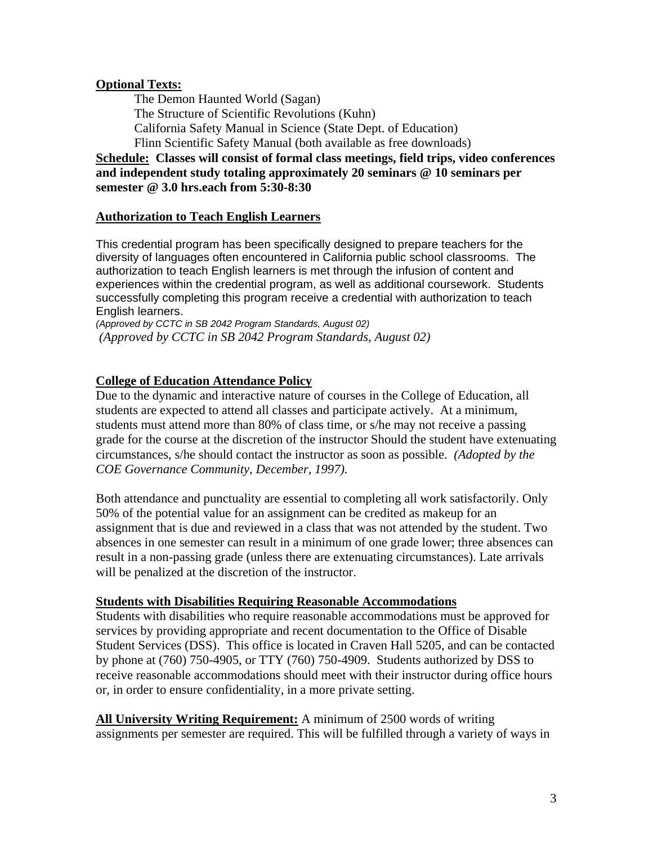#### **Optional Texts:**

The Demon Haunted World (Sagan) The Structure of Scientific Revolutions (Kuhn) California Safety Manual in Science (State Dept. of Education) Flinn Scientific Safety Manual (both available as free downloads)

**Schedule: Classes will consist of formal class meetings, field trips, video conferences and independent study totaling approximately 20 seminars @ 10 seminars per semester @ 3.0 hrs.each from 5:30-8:30** 

#### **Authorization to Teach English Learners**

This credential program has been specifically designed to prepare teachers for the diversity of languages often encountered in California public school classrooms. The authorization to teach English learners is met through the infusion of content and experiences within the credential program, as well as additional coursework. Students successfully completing this program receive a credential with authorization to teach English learners.

*(Approved by CCTC in SB 2042 Program Standards, August 02) (Approved by CCTC in SB 2042 Program Standards, August 02)* 

#### **College of Education Attendance Policy**

 *COE Governance Community, December, 1997).*  Due to the dynamic and interactive nature of courses in the College of Education, all students are expected to attend all classes and participate actively. At a minimum, students must attend more than 80% of class time, or s/he may not receive a passing grade for the course at the discretion of the instructor Should the student have extenuating circumstances, s/he should contact the instructor as soon as possible. *(Adopted by the* 

Both attendance and punctuality are essential to completing all work satisfactorily. Only 50% of the potential value for an assignment can be credited as makeup for an assignment that is due and reviewed in a class that was not attended by the student. Two absences in one semester can result in a minimum of one grade lower; three absences can result in a non-passing grade (unless there are extenuating circumstances). Late arrivals will be penalized at the discretion of the instructor.

#### **Students with Disabilities Requiring Reasonable Accommodations**

Students with disabilities who require reasonable accommodations must be approved for services by providing appropriate and recent documentation to the Office of Disable Student Services (DSS). This office is located in Craven Hall 5205, and can be contacted by phone at (760) 750-4905, or TTY (760) 750-4909. Students authorized by DSS to receive reasonable accommodations should meet with their instructor during office hours or, in order to ensure confidentiality, in a more private setting.

**All University Writing Requirement:** A minimum of 2500 words of writing assignments per semester are required. This will be fulfilled through a variety of ways in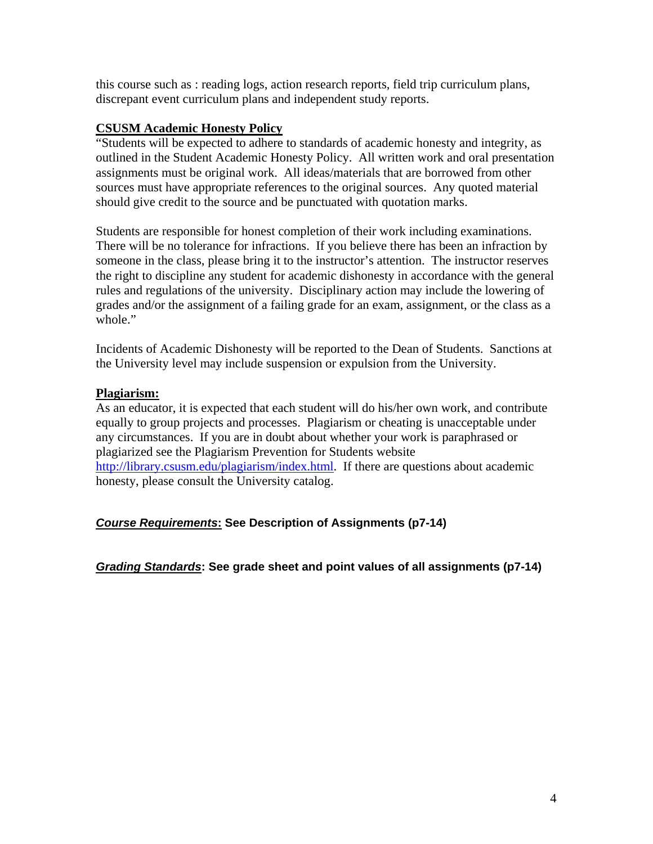this course such as : reading logs, action research reports, field trip curriculum plans, discrepant event curriculum plans and independent study reports.

## **CSUSM Academic Honesty Policy**

"Students will be expected to adhere to standards of academic honesty and integrity, as outlined in the Student Academic Honesty Policy. All written work and oral presentation assignments must be original work. All ideas/materials that are borrowed from other sources must have appropriate references to the original sources. Any quoted material should give credit to the source and be punctuated with quotation marks.

Students are responsible for honest completion of their work including examinations. There will be no tolerance for infractions. If you believe there has been an infraction by someone in the class, please bring it to the instructor's attention. The instructor reserves the right to discipline any student for academic dishonesty in accordance with the general rules and regulations of the university. Disciplinary action may include the lowering of grades and/or the assignment of a failing grade for an exam, assignment, or the class as a whole."

Incidents of Academic Dishonesty will be reported to the Dean of Students. Sanctions at the University level may include suspension or expulsion from the University.

#### **Plagiarism:**

As an educator, it is expected that each student will do his/her own work, and contribute equally to group projects and processes. Plagiarism or cheating is unacceptable under any circumstances. If you are in doubt about whether your work is paraphrased or plagiarized see the Plagiarism Prevention for Students website http://library.csusm.edu/plagiarism/index.html. If there are questions about academic honesty, please consult the University catalog.

## *Course Requirements***: See Description of Assignments (p7-14)**

*Grading Standards***: See grade sheet and point values of all assignments (p7-14)**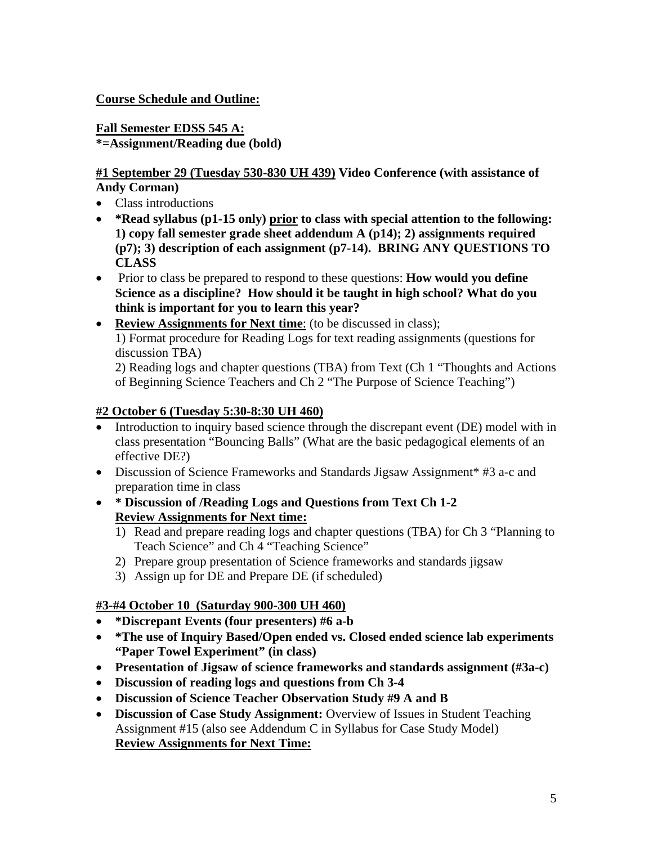# **Course Schedule and Outline:**

#### **Fall Semester EDSS 545 A: \*=Assignment/Reading due (bold)**

**#1 September 29 (Tuesday 530-830 UH 439) Video Conference (with assistance of Andy Corman)** 

- Class introductions
- • **\*Read syllabus (p1-15 only) prior to class with special attention to the following: 1) copy fall semester grade sheet addendum A (p14); 2) assignments required (p7); 3) description of each assignment (p7-14). BRING ANY QUESTIONS TO CLASS**
- Prior to class be prepared to respond to these questions: **How would you define Science as a discipline? How should it be taught in high school? What do you think is important for you to learn this year?**
- **Review Assignments for Next time**: (to be discussed in class): 1) Format procedure for Reading Logs for text reading assignments (questions for discussion TBA)

2) Reading logs and chapter questions (TBA) from Text (Ch 1 "Thoughts and Actions of Beginning Science Teachers and Ch 2 "The Purpose of Science Teaching")

## **#2 October 6 (Tuesday 5:30-8:30 UH 460)**

- Introduction to inquiry based science through the discrepant event (DE) model with in class presentation "Bouncing Balls" (What are the basic pedagogical elements of an effective DE?)
- Discussion of Science Frameworks and Standards Jigsaw Assignment\* #3 a-c and preparation time in class
- • **\* Discussion of /Reading Logs and Questions from Text Ch 1-2 Review Assignments for Next time:** 
	- 1) Read and prepare reading logs and chapter questions (TBA) for Ch 3 "Planning to Teach Science" and Ch 4 "Teaching Science"
	- 2) Prepare group presentation of Science frameworks and standards jigsaw
	- 3) Assign up for DE and Prepare DE (if scheduled)

# **#3-#4 October 10 (Saturday 900-300 UH 460)**

- **\*Discrepant Events (four presenters) #6 a-b**
- **\*The use of Inquiry Based/Open ended vs. Closed ended science lab experiments "Paper Towel Experiment" (in class)**
- • **Presentation of Jigsaw of science frameworks and standards assignment (#3a-c)**
- • **Discussion of reading logs and questions from Ch 3-4**
- • **Discussion of Science Teacher Observation Study #9 A and B**
- **Discussion of Case Study Assignment:** Overview of Issues in Student Teaching Assignment #15 (also see Addendum C in Syllabus for Case Study Model) **Review Assignments for Next Time:**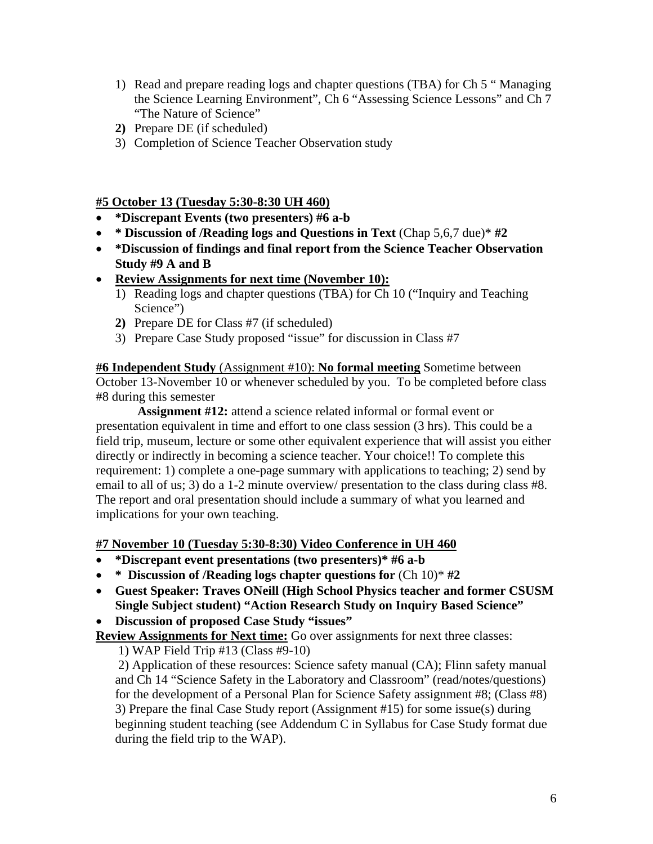- 1) Read and prepare reading logs and chapter questions (TBA) for Ch 5 " Managing the Science Learning Environment", Ch 6 "Assessing Science Lessons" and Ch 7 "The Nature of Science"
- **2)** Prepare DE (if scheduled)
- 3) Completion of Science Teacher Observation study

#### **#5 October 13 (Tuesday 5:30-8:30 UH 460)**

- **\*Discrepant Events (two presenters) #6 a-b**
- **\* Discussion of /Reading logs and Questions in Text** (Chap 5,6,7 due)\* **#2**
- **\*Discussion of findings and final report from the Science Teacher Observation Study #9 A and B**
- • **Review Assignments for next time (November 10):** 
	- 1) Reading logs and chapter questions (TBA) for Ch 10 ("Inquiry and Teaching Science")
	- **2)** Prepare DE for Class #7 (if scheduled)
	- 3) Prepare Case Study proposed "issue" for discussion in Class #7

**#6 Independent Study** (Assignment #10): **No formal meeting** Sometime between October 13-November 10 or whenever scheduled by you. To be completed before class #8 during this semester

 **Assignment #12:** attend a science related informal or formal event or presentation equivalent in time and effort to one class session (3 hrs). This could be a field trip, museum, lecture or some other equivalent experience that will assist you either directly or indirectly in becoming a science teacher. Your choice!! To complete this requirement: 1) complete a one-page summary with applications to teaching; 2) send by email to all of us; 3) do a 1-2 minute overview/ presentation to the class during class #8. The report and oral presentation should include a summary of what you learned and implications for your own teaching.

**#7 November 10 (Tuesday 5:30-8:30) Video Conference in UH 460** 

- **\*Discrepant event presentations (two presenters)\* #6 a-b**
- **\* Discussion of /Reading logs chapter questions for** (Ch 10)\* **#2**
- • **Guest Speaker: Traves ONeill (High School Physics teacher and former CSUSM Single Subject student) "Action Research Study on Inquiry Based Science"**
- • **Discussion of proposed Case Study "issues"**

**Review Assignments for Next time:** Go over assignments for next three classes:

1) WAP Field Trip #13 (Class #9-10)

 2) Application of these resources: Science safety manual (CA); Flinn safety manual and Ch 14 "Science Safety in the Laboratory and Classroom" (read/notes/questions) for the development of a Personal Plan for Science Safety assignment #8; (Class #8) 3) Prepare the final Case Study report (Assignment #15) for some issue(s) during beginning student teaching (see Addendum C in Syllabus for Case Study format due during the field trip to the WAP).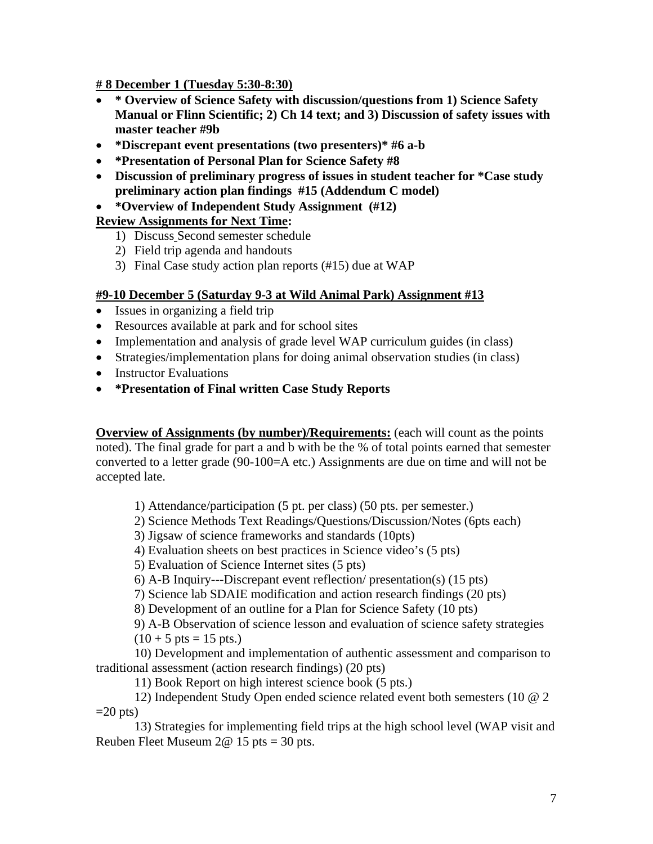**# 8 December 1 (Tuesday 5:30-8:30)** 

- **\* Overview of Science Safety with discussion/questions from 1) Science Safety Manual or Flinn Scientific; 2) Ch 14 text; and 3) Discussion of safety issues with master teacher #9b**
- **\*Discrepant event presentations (two presenters)\* #6 a-b**
- **\*Presentation of Personal Plan for Science Safety #8**
- **Discussion of preliminary progress of issues in student teacher for \*Case study preliminary action plan findings #15 (Addendum C model)**
- **\*Overview of Independent Study Assignment (#12)**

## **Review Assignments for Next Time:**

- 1) Discuss Second semester schedule
- 2) Field trip agenda and handouts
- 3) Final Case study action plan reports (#15) due at WAP

#### **#9-10 December 5 (Saturday 9-3 at Wild Animal Park) Assignment #13**

- Issues in organizing a field trip
- Resources available at park and for school sites
- Implementation and analysis of grade level WAP curriculum guides (in class)
- Strategies/implementation plans for doing animal observation studies (in class)
- Instructor Evaluations
- **\*Presentation of Final written Case Study Reports**

**Overview of Assignments (by number)/Requirements:** (each will count as the points noted). The final grade for part a and b with be the % of total points earned that semester converted to a letter grade (90-100=A etc.) Assignments are due on time and will not be accepted late.

1) Attendance/participation (5 pt. per class) (50 pts. per semester.)

2) Science Methods Text Readings/Questions/Discussion/Notes (6pts each)

3) Jigsaw of science frameworks and standards (10pts)

4) Evaluation sheets on best practices in Science video's (5 pts)

- 5) Evaluation of Science Internet sites (5 pts)
- 6) A-B Inquiry---Discrepant event reflection/ presentation(s) (15 pts)
- 7) Science lab SDAIE modification and action research findings (20 pts)
- 8) Development of an outline for a Plan for Science Safety (10 pts)

9) A-B Observation of science lesson and evaluation of science safety strategies  $(10 + 5 \text{ pts} = 15 \text{ pts.})$ 

10) Development and implementation of authentic assessment and comparison to traditional assessment (action research findings) (20 pts)

11) Book Report on high interest science book (5 pts.)

12) Independent Study Open ended science related event both semesters (10 @ 2  $=20$  pts)

13) Strategies for implementing field trips at the high school level (WAP visit and Reuben Fleet Museum  $2@ 15$  pts = 30 pts.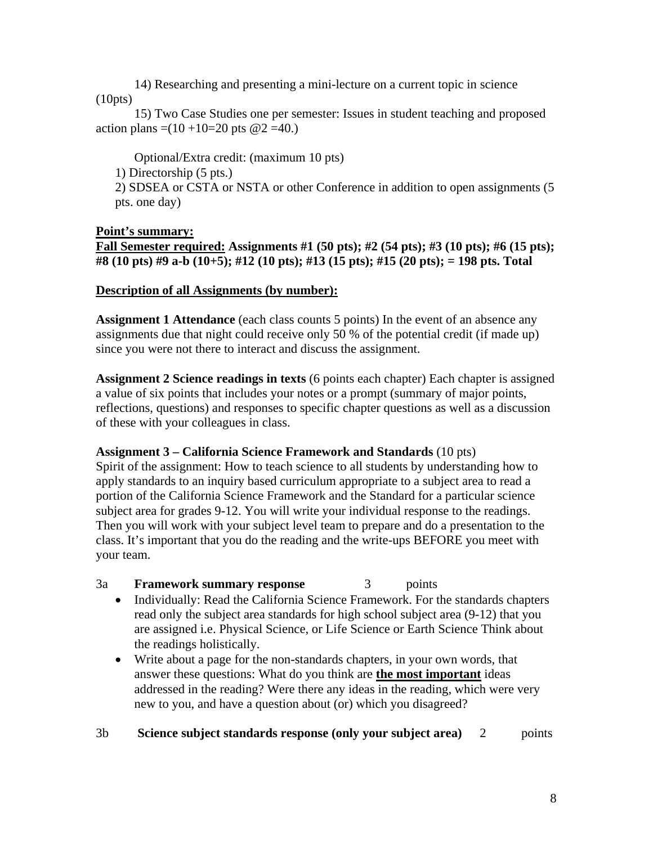14) Researching and presenting a mini-lecture on a current topic in science (10pts)

15) Two Case Studies one per semester: Issues in student teaching and proposed action plans =(10 +10=20 pts  $@2 = 40$ .)

Optional/Extra credit: (maximum 10 pts)

1) Directorship (5 pts.)

2) SDSEA or CSTA or NSTA or other Conference in addition to open assignments (5 pts. one day)

## **Point's summary:**

**Fall Semester required: Assignments #1 (50 pts); #2 (54 pts); #3 (10 pts); #6 (15 pts); #8 (10 pts) #9 a-b (10+5); #12 (10 pts); #13 (15 pts); #15 (20 pts); = 198 pts. Total** 

## **Description of all Assignments (by number):**

**Assignment 1 Attendance** (each class counts 5 points) In the event of an absence any assignments due that night could receive only 50 % of the potential credit (if made up) since you were not there to interact and discuss the assignment.

**Assignment 2 Science readings in texts** (6 points each chapter) Each chapter is assigned a value of six points that includes your notes or a prompt (summary of major points, reflections, questions) and responses to specific chapter questions as well as a discussion of these with your colleagues in class.

## **Assignment 3 – California Science Framework and Standards** (10 pts)

Spirit of the assignment: How to teach science to all students by understanding how to apply standards to an inquiry based curriculum appropriate to a subject area to read a portion of the California Science Framework and the Standard for a particular science subject area for grades 9-12. You will write your individual response to the readings. Then you will work with your subject level team to prepare and do a presentation to the class. It's important that you do the reading and the write-ups BEFORE you meet with your team.

# 3a **Framework summary response** 3 points

- Individually: Read the California Science Framework. For the standards chapters read only the subject area standards for high school subject area (9-12) that you are assigned i.e. Physical Science, or Life Science or Earth Science Think about the readings holistically.
- Write about a page for the non-standards chapters, in your own words, that answer these questions: What do you think are **the most important** ideas addressed in the reading? Were there any ideas in the reading, which were very new to you, and have a question about (or) which you disagreed?

## 3b **Science subject standards response (only your subject area)** 2 points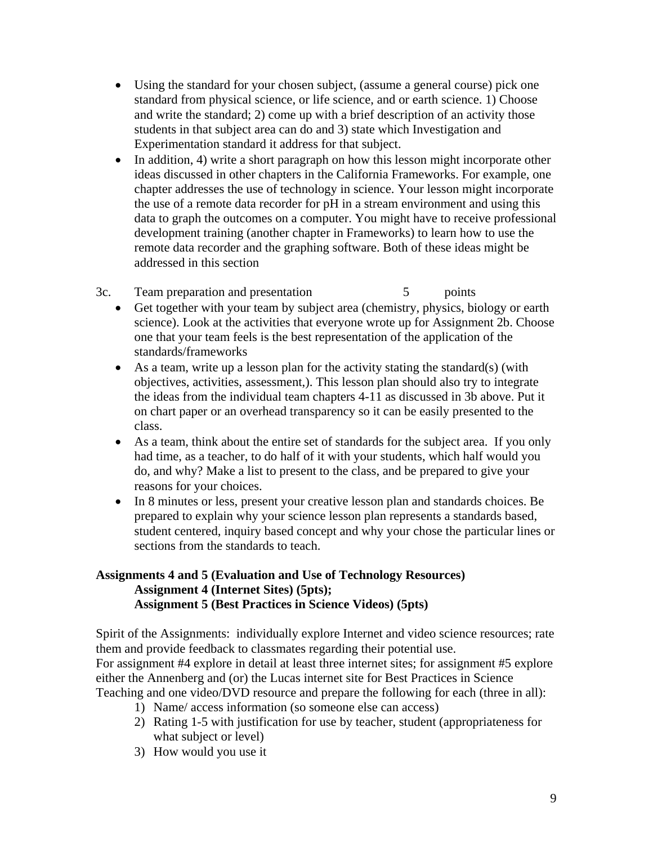- Using the standard for your chosen subject, (assume a general course) pick one standard from physical science, or life science, and or earth science. 1) Choose and write the standard; 2) come up with a brief description of an activity those students in that subject area can do and 3) state which Investigation and Experimentation standard it address for that subject.
- In addition, 4) write a short paragraph on how this lesson might incorporate other ideas discussed in other chapters in the California Frameworks. For example, one chapter addresses the use of technology in science. Your lesson might incorporate the use of a remote data recorder for pH in a stream environment and using this data to graph the outcomes on a computer. You might have to receive professional development training (another chapter in Frameworks) to learn how to use the remote data recorder and the graphing software. Both of these ideas might be addressed in this section
- 3c. Team preparation and presentation 5 points
	- Get together with your team by subject area (chemistry, physics, biology or earth science). Look at the activities that everyone wrote up for Assignment 2b. Choose one that your team feels is the best representation of the application of the standards/frameworks
	- As a team, write up a lesson plan for the activity stating the standard(s) (with objectives, activities, assessment,). This lesson plan should also try to integrate the ideas from the individual team chapters 4-11 as discussed in 3b above. Put it on chart paper or an overhead transparency so it can be easily presented to the class.
	- As a team, think about the entire set of standards for the subject area. If you only had time, as a teacher, to do half of it with your students, which half would you do, and why? Make a list to present to the class, and be prepared to give your reasons for your choices.
	- In 8 minutes or less, present your creative lesson plan and standards choices. Be prepared to explain why your science lesson plan represents a standards based, student centered, inquiry based concept and why your chose the particular lines or sections from the standards to teach.

#### **Assignment 5 (Best Practices in Science Videos) (5pts) Assignments 4 and 5 (Evaluation and Use of Technology Resources) Assignment 4 (Internet Sites) (5pts);**

Spirit of the Assignments: individually explore Internet and video science resources; rate them and provide feedback to classmates regarding their potential use. For assignment #4 explore in detail at least three internet sites; for assignment #5 explore either the Annenberg and (or) the Lucas internet site for Best Practices in Science Teaching and one video/DVD resource and prepare the following for each (three in all):

- 1) Name/ access information (so someone else can access)
- 2) Rating 1-5 with justification for use by teacher, student (appropriateness for what subject or level)
- 3) How would you use it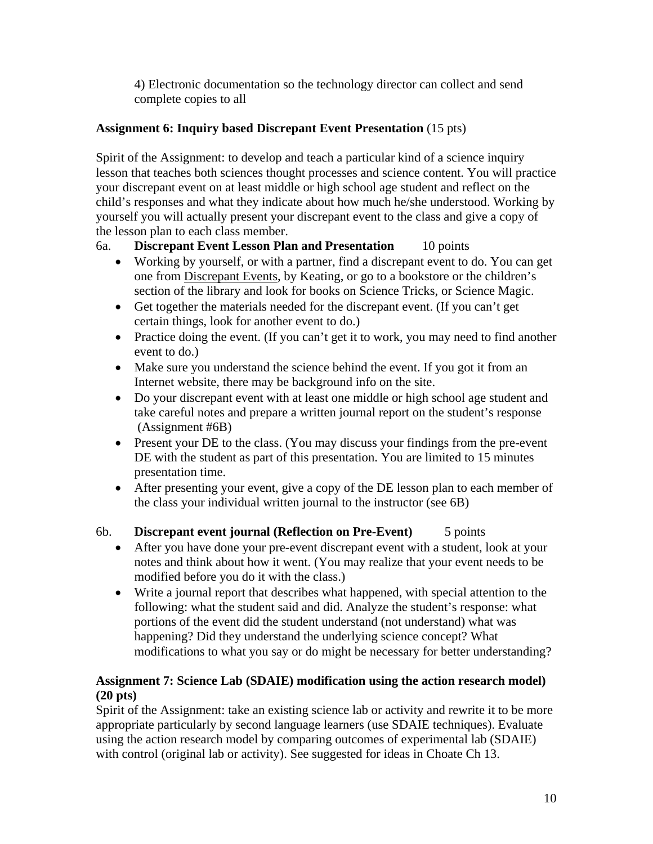4) Electronic documentation so the technology director can collect and send complete copies to all

# **Assignment 6: Inquiry based Discrepant Event Presentation** (15 pts)

Spirit of the Assignment: to develop and teach a particular kind of a science inquiry lesson that teaches both sciences thought processes and science content. You will practice your discrepant event on at least middle or high school age student and reflect on the child's responses and what they indicate about how much he/she understood. Working by yourself you will actually present your discrepant event to the class and give a copy of the lesson plan to each class member.

# 6a. **Discrepant Event Lesson Plan and Presentation** 10 points

- Working by yourself, or with a partner, find a discrepant event to do. You can get one from Discrepant Events, by Keating, or go to a bookstore or the children's section of the library and look for books on Science Tricks, or Science Magic.
- Get together the materials needed for the discrepant event. (If you can't get certain things, look for another event to do.)
- Practice doing the event. (If you can't get it to work, you may need to find another event to do.)
- Make sure you understand the science behind the event. If you got it from an Internet website, there may be background info on the site.
- Do your discrepant event with at least one middle or high school age student and take careful notes and prepare a written journal report on the student's response (Assignment #6B)
- Present your DE to the class. (You may discuss your findings from the pre-event DE with the student as part of this presentation. You are limited to 15 minutes presentation time.
- After presenting your event, give a copy of the DE lesson plan to each member of the class your individual written journal to the instructor (see 6B)

# 6b. **Discrepant event journal (Reflection on Pre-Event)** 5 points

- After you have done your pre-event discrepant event with a student, look at your notes and think about how it went. (You may realize that your event needs to be modified before you do it with the class.)
- Write a journal report that describes what happened, with special attention to the following: what the student said and did. Analyze the student's response: what portions of the event did the student understand (not understand) what was happening? Did they understand the underlying science concept? What modifications to what you say or do might be necessary for better understanding?

## **Assignment 7: Science Lab (SDAIE) modification using the action research model) (20 pts)**

Spirit of the Assignment: take an existing science lab or activity and rewrite it to be more appropriate particularly by second language learners (use SDAIE techniques). Evaluate using the action research model by comparing outcomes of experimental lab (SDAIE) with control (original lab or activity). See suggested for ideas in Choate Ch 13.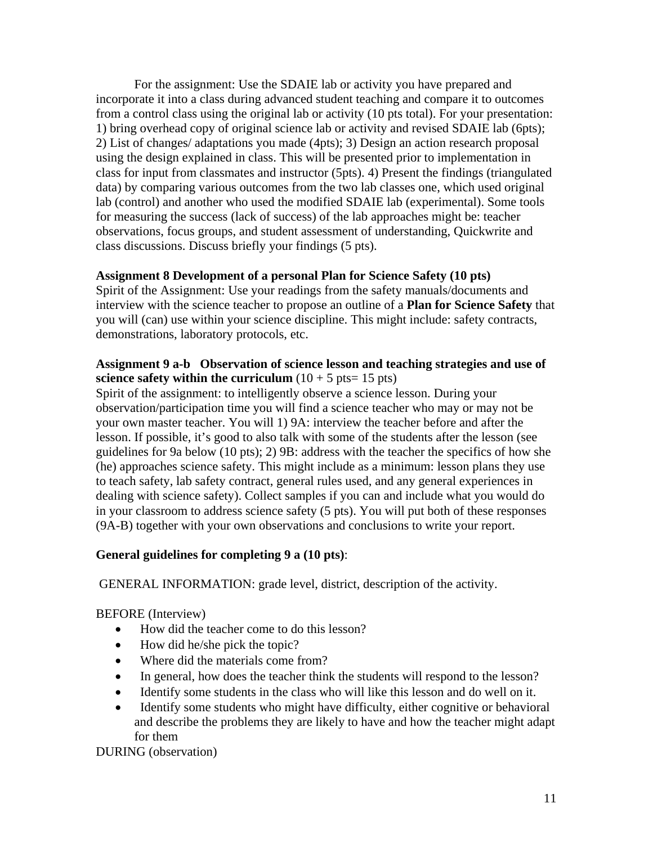For the assignment: Use the SDAIE lab or activity you have prepared and incorporate it into a class during advanced student teaching and compare it to outcomes from a control class using the original lab or activity (10 pts total). For your presentation: 1) bring overhead copy of original science lab or activity and revised SDAIE lab (6pts); 2) List of changes/ adaptations you made (4pts); 3) Design an action research proposal using the design explained in class. This will be presented prior to implementation in class for input from classmates and instructor (5pts). 4) Present the findings (triangulated data) by comparing various outcomes from the two lab classes one, which used original lab (control) and another who used the modified SDAIE lab (experimental). Some tools for measuring the success (lack of success) of the lab approaches might be: teacher observations, focus groups, and student assessment of understanding, Quickwrite and class discussions. Discuss briefly your findings (5 pts).

## **Assignment 8 Development of a personal Plan for Science Safety (10 pts)**

Spirit of the Assignment: Use your readings from the safety manuals/documents and interview with the science teacher to propose an outline of a **Plan for Science Safety** that you will (can) use within your science discipline. This might include: safety contracts, demonstrations, laboratory protocols, etc.

#### **Assignment 9 a-b Observation of science lesson and teaching strategies and use of science safety within the curriculum**  $(10 + 5 \text{ pts} = 15 \text{ pts})$

Spirit of the assignment: to intelligently observe a science lesson. During your observation/participation time you will find a science teacher who may or may not be your own master teacher. You will 1) 9A: interview the teacher before and after the lesson. If possible, it's good to also talk with some of the students after the lesson (see guidelines for 9a below (10 pts); 2) 9B: address with the teacher the specifics of how she (he) approaches science safety. This might include as a minimum: lesson plans they use to teach safety, lab safety contract, general rules used, and any general experiences in dealing with science safety). Collect samples if you can and include what you would do in your classroom to address science safety (5 pts). You will put both of these responses (9A-B) together with your own observations and conclusions to write your report.

## **General guidelines for completing 9 a (10 pts)**:

GENERAL INFORMATION: grade level, district, description of the activity.

BEFORE (Interview)

- How did the teacher come to do this lesson?
- How did he/she pick the topic?
- Where did the materials come from?
- In general, how does the teacher think the students will respond to the lesson?
- Identify some students in the class who will like this lesson and do well on it.
- Identify some students who might have difficulty, either cognitive or behavioral and describe the problems they are likely to have and how the teacher might adapt for them

DURING (observation)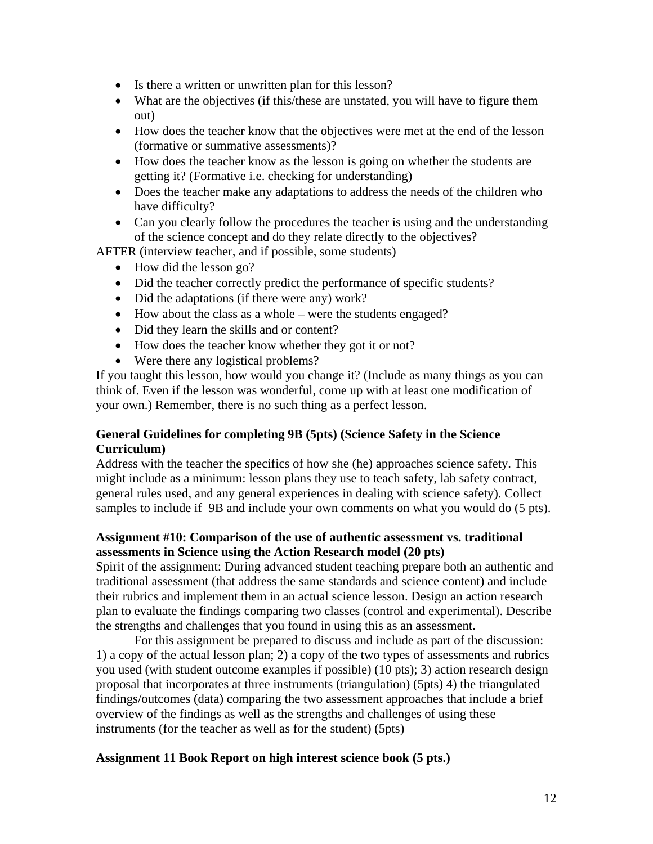- Is there a written or unwritten plan for this lesson?
- What are the objectives (if this/these are unstated, you will have to figure them out)
- How does the teacher know that the objectives were met at the end of the lesson (formative or summative assessments)?
- How does the teacher know as the lesson is going on whether the students are getting it? (Formative i.e. checking for understanding)
- Does the teacher make any adaptations to address the needs of the children who have difficulty?
- Can you clearly follow the procedures the teacher is using and the understanding of the science concept and do they relate directly to the objectives?

AFTER (interview teacher, and if possible, some students)

- How did the lesson go?
- Did the teacher correctly predict the performance of specific students?
- Did the adaptations (if there were any) work?
- How about the class as a whole were the students engaged?
- Did they learn the skills and or content?
- How does the teacher know whether they got it or not?
- Were there any logistical problems?

If you taught this lesson, how would you change it? (Include as many things as you can think of. Even if the lesson was wonderful, come up with at least one modification of your own.) Remember, there is no such thing as a perfect lesson.

#### **General Guidelines for completing 9B (5pts) (Science Safety in the Science Curriculum)**

Address with the teacher the specifics of how she (he) approaches science safety. This might include as a minimum: lesson plans they use to teach safety, lab safety contract, general rules used, and any general experiences in dealing with science safety). Collect samples to include if 9B and include your own comments on what you would do (5 pts).

#### **Assignment #10: Comparison of the use of authentic assessment vs. traditional assessments in Science using the Action Research model (20 pts)**

Spirit of the assignment: During advanced student teaching prepare both an authentic and traditional assessment (that address the same standards and science content) and include their rubrics and implement them in an actual science lesson. Design an action research plan to evaluate the findings comparing two classes (control and experimental). Describe the strengths and challenges that you found in using this as an assessment.

For this assignment be prepared to discuss and include as part of the discussion: 1) a copy of the actual lesson plan; 2) a copy of the two types of assessments and rubrics you used (with student outcome examples if possible) (10 pts); 3) action research design proposal that incorporates at three instruments (triangulation) (5pts) 4) the triangulated findings/outcomes (data) comparing the two assessment approaches that include a brief overview of the findings as well as the strengths and challenges of using these instruments (for the teacher as well as for the student) (5pts)

## **Assignment 11 Book Report on high interest science book (5 pts.)**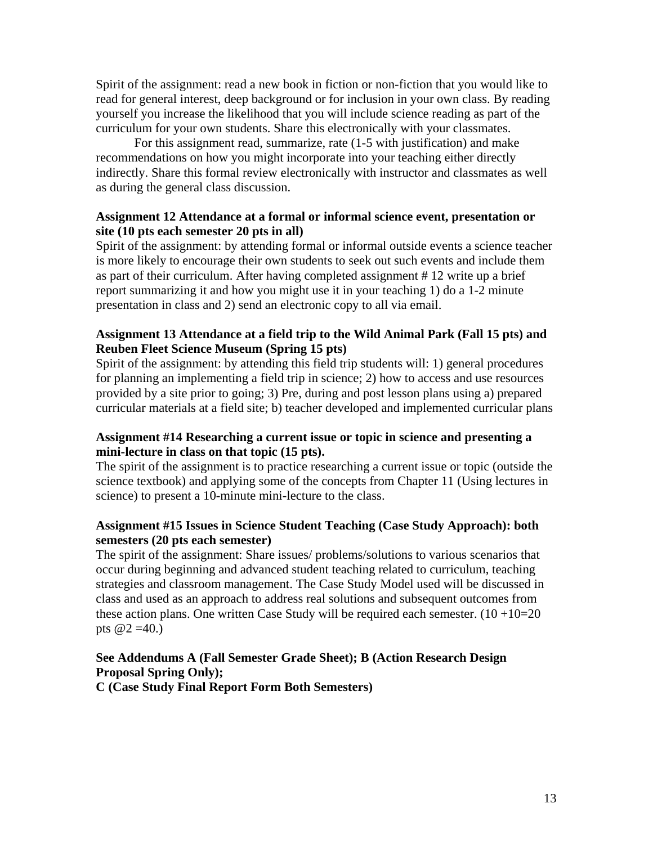Spirit of the assignment: read a new book in fiction or non-fiction that you would like to read for general interest, deep background or for inclusion in your own class. By reading yourself you increase the likelihood that you will include science reading as part of the curriculum for your own students. Share this electronically with your classmates.

For this assignment read, summarize, rate (1-5 with justification) and make recommendations on how you might incorporate into your teaching either directly indirectly. Share this formal review electronically with instructor and classmates as well as during the general class discussion.

#### **Assignment 12 Attendance at a formal or informal science event, presentation or site (10 pts each semester 20 pts in all)**

Spirit of the assignment: by attending formal or informal outside events a science teacher is more likely to encourage their own students to seek out such events and include them as part of their curriculum. After having completed assignment # 12 write up a brief report summarizing it and how you might use it in your teaching 1) do a 1-2 minute presentation in class and 2) send an electronic copy to all via email.

#### **Assignment 13 Attendance at a field trip to the Wild Animal Park (Fall 15 pts) and Reuben Fleet Science Museum (Spring 15 pts)**

Spirit of the assignment: by attending this field trip students will: 1) general procedures for planning an implementing a field trip in science; 2) how to access and use resources provided by a site prior to going; 3) Pre, during and post lesson plans using a) prepared curricular materials at a field site; b) teacher developed and implemented curricular plans

#### **Assignment #14 Researching a current issue or topic in science and presenting a mini-lecture in class on that topic (15 pts).**

The spirit of the assignment is to practice researching a current issue or topic (outside the science textbook) and applying some of the concepts from Chapter 11 (Using lectures in science) to present a 10-minute mini-lecture to the class.

#### **Assignment #15 Issues in Science Student Teaching (Case Study Approach): both semesters (20 pts each semester)**

The spirit of the assignment: Share issues/ problems/solutions to various scenarios that occur during beginning and advanced student teaching related to curriculum, teaching strategies and classroom management. The Case Study Model used will be discussed in class and used as an approach to address real solutions and subsequent outcomes from these action plans. One written Case Study will be required each semester.  $(10+10=20$ pts  $@2 = 40.$ )

# **See Addendums A (Fall Semester Grade Sheet); B (Action Research Design Proposal Spring Only);**

**C (Case Study Final Report Form Both Semesters)**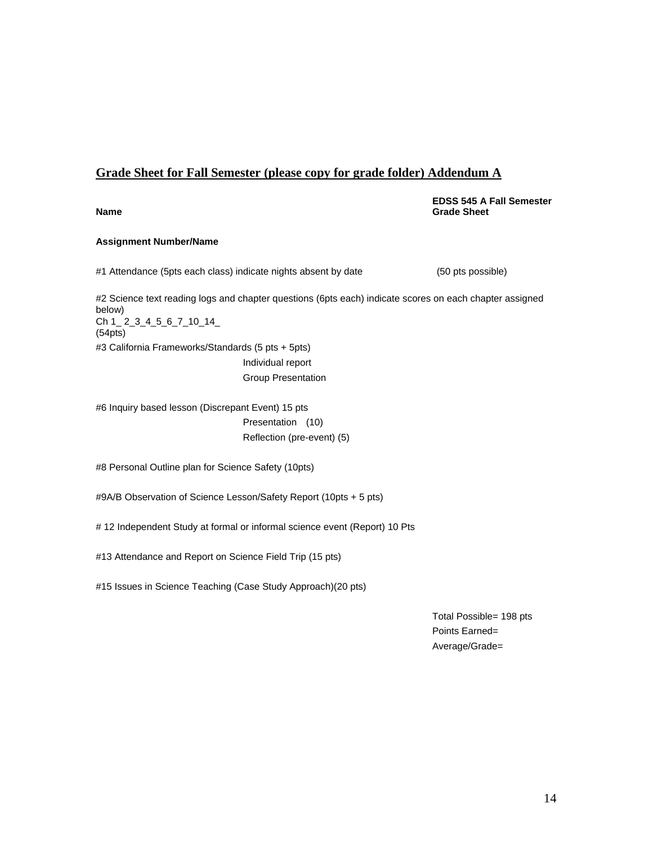#### **Grade Sheet for Fall Semester (please copy for grade folder) Addendum A**

**EDSS 545 A Fall Semester Name** Grade Sheet **Contract Contract of Contract Contract Contract Contract Contract Contract Contract Contract Contract Contract Contract Contract Contract Contract Contract Contract Contract Contract Contract Contract C** 

#### **Assignment Number/Name**

#1 Attendance (5pts each class) indicate nights absent by date (50 pts possible)

 Ch 1\_ 2\_3\_4\_5\_6\_7\_10\_14\_ #2 Science text reading logs and chapter questions (6pts each) indicate scores on each chapter assigned below) (54pts) #3 California Frameworks/Standards (5 pts + 5pts) Individual report

Group Presentation

Reflection (pre-event) (5) #6 Inquiry based lesson (Discrepant Event) 15 pts Presentation (10)

#8 Personal Outline plan for Science Safety (10pts)

#9A/B Observation of Science Lesson/Safety Report (10pts + 5 pts)

# 12 Independent Study at formal or informal science event (Report) 10 Pts

#13 Attendance and Report on Science Field Trip (15 pts)

#15 Issues in Science Teaching (Case Study Approach)(20 pts)

Total Possible= 198 pts Points Earned= Average/Grade=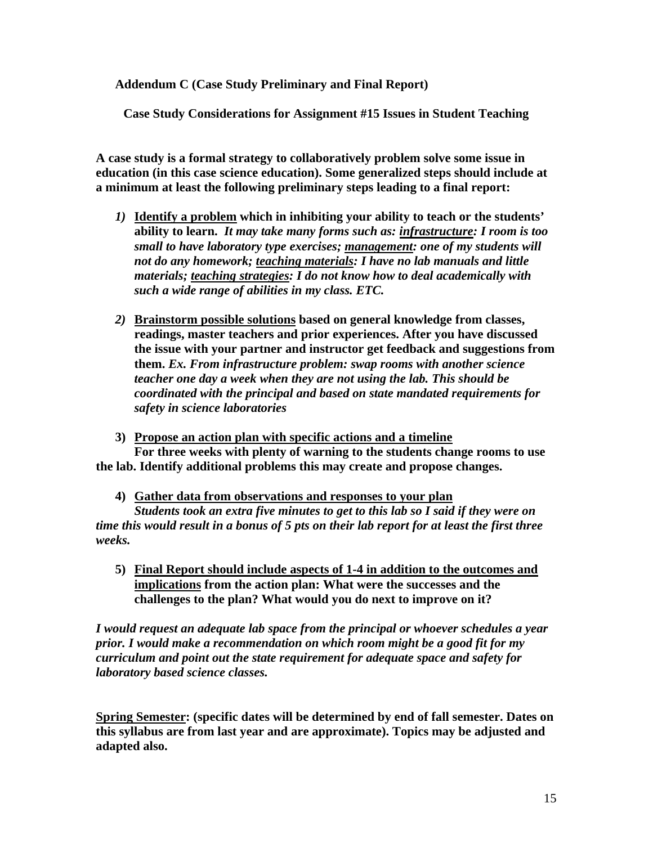**Addendum C (Case Study Preliminary and Final Report)** 

**Case Study Considerations for Assignment #15 Issues in Student Teaching** 

**A case study is a formal strategy to collaboratively problem solve some issue in education (in this case science education). Some generalized steps should include at a minimum at least the following preliminary steps leading to a final report:** 

- *1)* **Identify a problem which in inhibiting your ability to teach or the students' ability to learn.** *It may take many forms such as: infrastructure: I room is too small to have laboratory type exercises; management: one of my students will not do any homework; teaching materials: I have no lab manuals and little materials; teaching strategies: I do not know how to deal academically with such a wide range of abilities in my class. ETC.*
- *2)* **Brainstorm possible solutions based on general knowledge from classes, readings, master teachers and prior experiences. After you have discussed the issue with your partner and instructor get feedback and suggestions from them.** *Ex. From infrastructure problem: swap rooms with another science teacher one day a week when they are not using the lab. This should be coordinated with the principal and based on state mandated requirements for safety in science laboratories*
- **3) Propose an action plan with specific actions and a timeline For three weeks with plenty of warning to the students change rooms to use the lab. Identify additional problems this may create and propose changes.** 
	- **4) Gather data from observations and responses to your plan**

*Students took an extra five minutes to get to this lab so I said if they were on time this would result in a bonus of 5 pts on their lab report for at least the first three weeks.* 

**5) Final Report should include aspects of 1-4 in addition to the outcomes and implications from the action plan: What were the successes and the challenges to the plan? What would you do next to improve on it?** 

*I would request an adequate lab space from the principal or whoever schedules a year prior. I would make a recommendation on which room might be a good fit for my curriculum and point out the state requirement for adequate space and safety for laboratory based science classes.* 

**Spring Semester: (specific dates will be determined by end of fall semester. Dates on this syllabus are from last year and are approximate). Topics may be adjusted and adapted also.**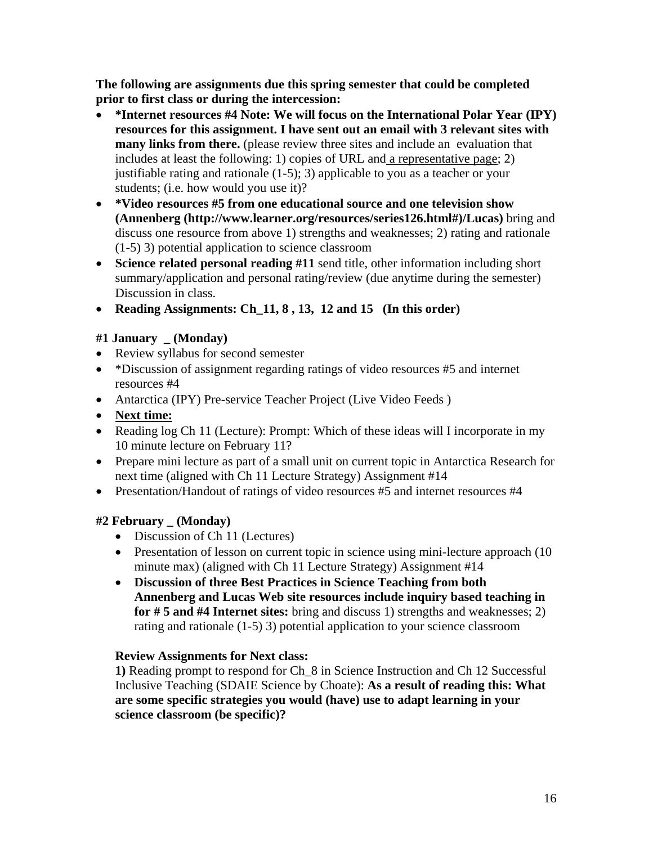**The following are assignments due this spring semester that could be completed prior to first class or during the intercession:** 

- **\*Internet resources #4 Note: We will focus on the International Polar Year (IPY) resources for this assignment. I have sent out an email with 3 relevant sites with many links from there.** (please review three sites and include an evaluation that includes at least the following: 1) copies of URL and a representative page; 2) justifiable rating and rationale (1-5); 3) applicable to you as a teacher or your students; (i.e. how would you use it)?
- • **\*Video resources #5 from one educational source and one television show (Annenberg (http://www.learner.org/resources/series126.html#)/Lucas)** bring and discuss one resource from above 1) strengths and weaknesses; 2) rating and rationale (1-5) 3) potential application to science classroom
- **Science related personal reading #11** send title, other information including short summary/application and personal rating/review (due anytime during the semester) Discussion in class.
- • **Reading Assignments: Ch\_11, 8 , 13, 12 and 15 (In this order)**

# **#1 January \_ (Monday)**

- Review syllabus for second semester
- \*Discussion of assignment regarding ratings of video resources #5 and internet resources #4
- Antarctica (IPY) Pre-service Teacher Project (Live Video Feeds)
- • **Next time:**
- Reading log Ch 11 (Lecture): Prompt: Which of these ideas will I incorporate in my 10 minute lecture on February 11?
- • Prepare mini lecture as part of a small unit on current topic in Antarctica Research for next time (aligned with Ch 11 Lecture Strategy) Assignment #14
- Presentation/Handout of ratings of video resources #5 and internet resources #4

## **#2 February \_ (Monday)**

- Discussion of Ch 11 (Lectures)
- Presentation of lesson on current topic in science using mini-lecture approach (10) minute max) (aligned with Ch 11 Lecture Strategy) Assignment #14
- • **Discussion of three Best Practices in Science Teaching from both Annenberg and Lucas Web site resources include inquiry based teaching in for # 5 and #4 Internet sites:** bring and discuss 1) strengths and weaknesses; 2) rating and rationale (1-5) 3) potential application to your science classroom

## **Review Assignments for Next class:**

**1)** Reading prompt to respond for Ch\_8 in Science Instruction and Ch 12 Successful Inclusive Teaching (SDAIE Science by Choate): **As a result of reading this: What are some specific strategies you would (have) use to adapt learning in your science classroom (be specific)?**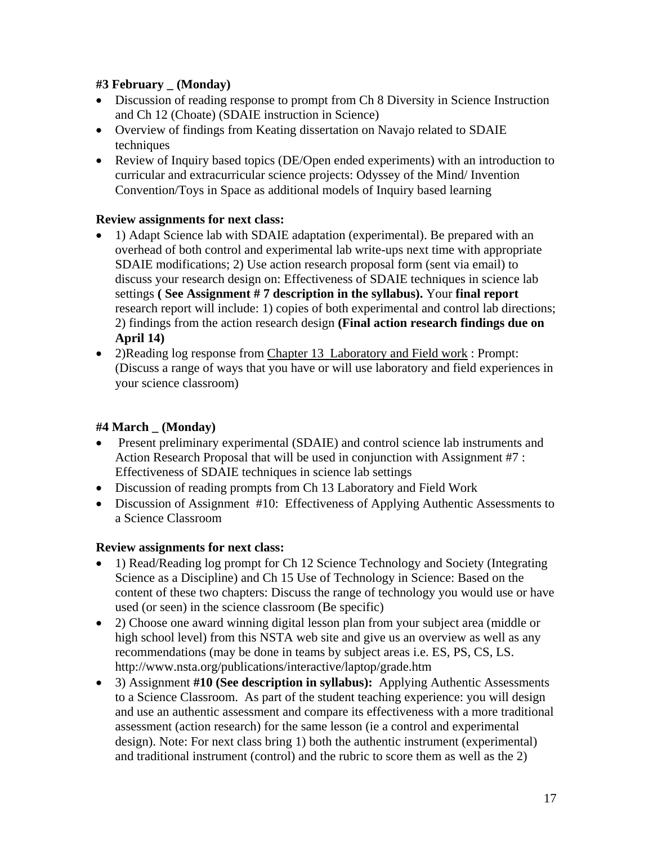# **#3 February \_ (Monday)**

- Discussion of reading response to prompt from Ch 8 Diversity in Science Instruction and Ch 12 (Choate) (SDAIE instruction in Science)
- Overview of findings from Keating dissertation on Navajo related to SDAIE techniques
- Review of Inquiry based topics (DE/Open ended experiments) with an introduction to curricular and extracurricular science projects: Odyssey of the Mind/ Invention Convention/Toys in Space as additional models of Inquiry based learning

# **Review assignments for next class:**

- 1) Adapt Science lab with SDAIE adaptation (experimental). Be prepared with an overhead of both control and experimental lab write-ups next time with appropriate SDAIE modifications; 2) Use action research proposal form (sent via email) to discuss your research design on: Effectiveness of SDAIE techniques in science lab settings **( See Assignment # 7 description in the syllabus).** Your **final report**  research report will include: 1) copies of both experimental and control lab directions; 2) findings from the action research design **(Final action research findings due on April 14)**
- 2)Reading log response from Chapter 13 Laboratory and Field work : Prompt: (Discuss a range of ways that you have or will use laboratory and field experiences in your science classroom)

# **#4 March \_ (Monday)**

- Present preliminary experimental (SDAIE) and control science lab instruments and Action Research Proposal that will be used in conjunction with Assignment #7 : Effectiveness of SDAIE techniques in science lab settings
- Discussion of reading prompts from Ch 13 Laboratory and Field Work
- Discussion of Assignment #10: Effectiveness of Applying Authentic Assessments to a Science Classroom

# **Review assignments for next class:**

- 1) Read/Reading log prompt for Ch 12 Science Technology and Society (Integrating Science as a Discipline) and Ch 15 Use of Technology in Science: Based on the content of these two chapters: Discuss the range of technology you would use or have used (or seen) in the science classroom (Be specific)
- 2) Choose one award winning digital lesson plan from your subject area (middle or high school level) from this NSTA web site and give us an overview as well as any recommendations (may be done in teams by subject areas i.e. ES, PS, CS, LS. http://www.nsta.org/publications/interactive/laptop/grade.htm
- • 3) Assignment **#10 (See description in syllabus):** Applying Authentic Assessments to a Science Classroom. As part of the student teaching experience: you will design and use an authentic assessment and compare its effectiveness with a more traditional assessment (action research) for the same lesson (ie a control and experimental design). Note: For next class bring 1) both the authentic instrument (experimental) and traditional instrument (control) and the rubric to score them as well as the 2)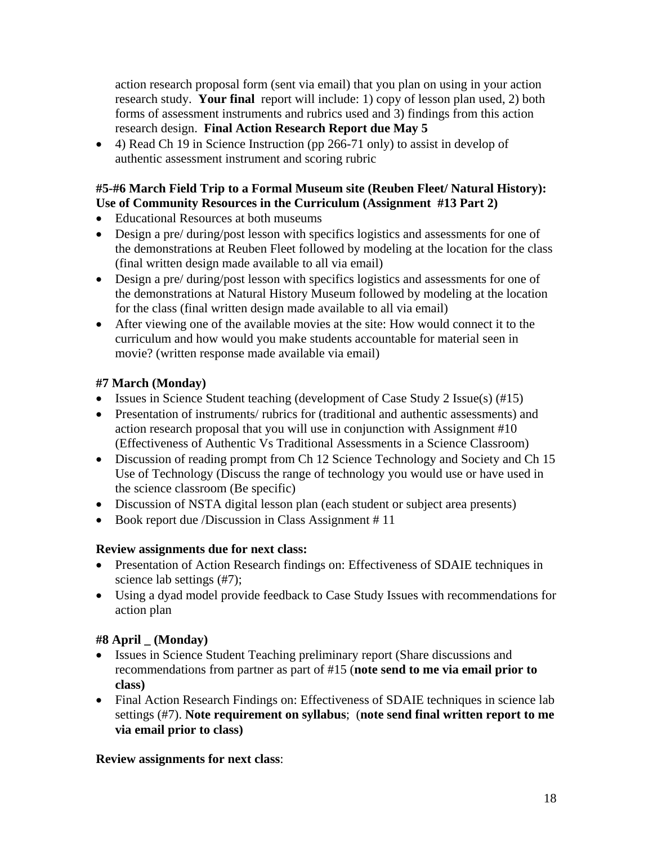action research proposal form (sent via email) that you plan on using in your action research study. **Your final** report will include: 1) copy of lesson plan used, 2) both forms of assessment instruments and rubrics used and 3) findings from this action research design. **Final Action Research Report due May 5** 

• 4) Read Ch 19 in Science Instruction (pp 266-71 only) to assist in develop of authentic assessment instrument and scoring rubric

## **#5-#6 March Field Trip to a Formal Museum site (Reuben Fleet/ Natural History): Use of Community Resources in the Curriculum (Assignment #13 Part 2)**

- • Educational Resources at both museums
- Design a pre/ during/post lesson with specifics logistics and assessments for one of the demonstrations at Reuben Fleet followed by modeling at the location for the class (final written design made available to all via email)
- Design a pre/ during/post lesson with specifics logistics and assessments for one of the demonstrations at Natural History Museum followed by modeling at the location for the class (final written design made available to all via email)
- After viewing one of the available movies at the site: How would connect it to the curriculum and how would you make students accountable for material seen in movie? (written response made available via email)

# **#7 March (Monday)**

- Issues in Science Student teaching (development of Case Study 2 Issue(s)  $(\text{\#}15)$
- Presentation of instruments/ rubrics for (traditional and authentic assessments) and action research proposal that you will use in conjunction with Assignment #10 (Effectiveness of Authentic Vs Traditional Assessments in a Science Classroom)
- Discussion of reading prompt from Ch 12 Science Technology and Society and Ch 15 Use of Technology (Discuss the range of technology you would use or have used in the science classroom (Be specific)
- Discussion of NSTA digital lesson plan (each student or subject area presents)
- Book report due */Discussion* in Class Assignment # 11

## **Review assignments due for next class:**

- Presentation of Action Research findings on: Effectiveness of SDAIE techniques in science lab settings (#7);
- • Using a dyad model provide feedback to Case Study Issues with recommendations for action plan

# **#8 April \_ (Monday)**

- Issues in Science Student Teaching preliminary report (Share discussions and recommendations from partner as part of #15 (**note send to me via email prior to class)**
- Final Action Research Findings on: Effectiveness of SDAIE techniques in science lab settings (#7). **Note requirement on syllabus**; (**note send final written report to me via email prior to class)**

# **Review assignments for next class**: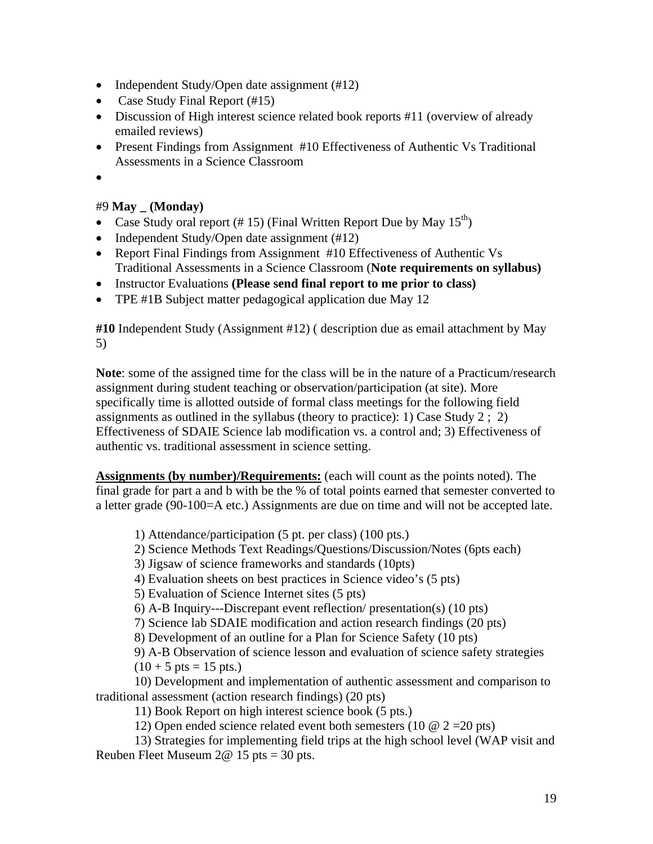- Independent Study/Open date assignment (#12)
- Case Study Final Report (#15)
- Discussion of High interest science related book reports #11 (overview of already emailed reviews)
- Present Findings from Assignment #10 Effectiveness of Authentic Vs Traditional Assessments in a Science Classroom
- •

#### #9 **May \_ (Monday)**

- Case Study oral report (# 15) (Final Written Report Due by May  $15^{th}$ )
- Independent Study/Open date assignment (#12)
- Report Final Findings from Assignment #10 Effectiveness of Authentic Vs Traditional Assessments in a Science Classroom (**Note requirements on syllabus)**
- Instructor Evaluations **(Please send final report to me prior to class)**
- TPE #1B Subject matter pedagogical application due May 12

**#10** Independent Study (Assignment #12) ( description due as email attachment by May 5)

**Note**: some of the assigned time for the class will be in the nature of a Practicum/research assignment during student teaching or observation/participation (at site). More specifically time is allotted outside of formal class meetings for the following field assignments as outlined in the syllabus (theory to practice): 1) Case Study  $2$ ; 2) Effectiveness of SDAIE Science lab modification vs. a control and; 3) Effectiveness of authentic vs. traditional assessment in science setting.

**Assignments (by number)/Requirements:** (each will count as the points noted). The final grade for part a and b with be the % of total points earned that semester converted to a letter grade (90-100=A etc.) Assignments are due on time and will not be accepted late.

#### 1) Attendance/participation (5 pt. per class) (100 pts.)

- 2) Science Methods Text Readings/Questions/Discussion/Notes (6pts each)
- 3) Jigsaw of science frameworks and standards (10pts)
- 4) Evaluation sheets on best practices in Science video's (5 pts)
- 5) Evaluation of Science Internet sites (5 pts)
- $6)$  A-B Inquiry---Discrepant event reflection/ presentation(s) (10 pts)
- 7) Science lab SDAIE modification and action research findings (20 pts)
- 8) Development of an outline for a Plan for Science Safety (10 pts)

9) A-B Observation of science lesson and evaluation of science safety strategies

 $(10 + 5 \text{ pts} = 15 \text{ pts.})$ 

10) Development and implementation of authentic assessment and comparison to traditional assessment (action research findings) (20 pts)

11) Book Report on high interest science book (5 pts.)

12) Open ended science related event both semesters (10  $\omega$  2 = 20 pts)

13) Strategies for implementing field trips at the high school level (WAP visit and Reuben Fleet Museum  $2@ 15$  pts = 30 pts.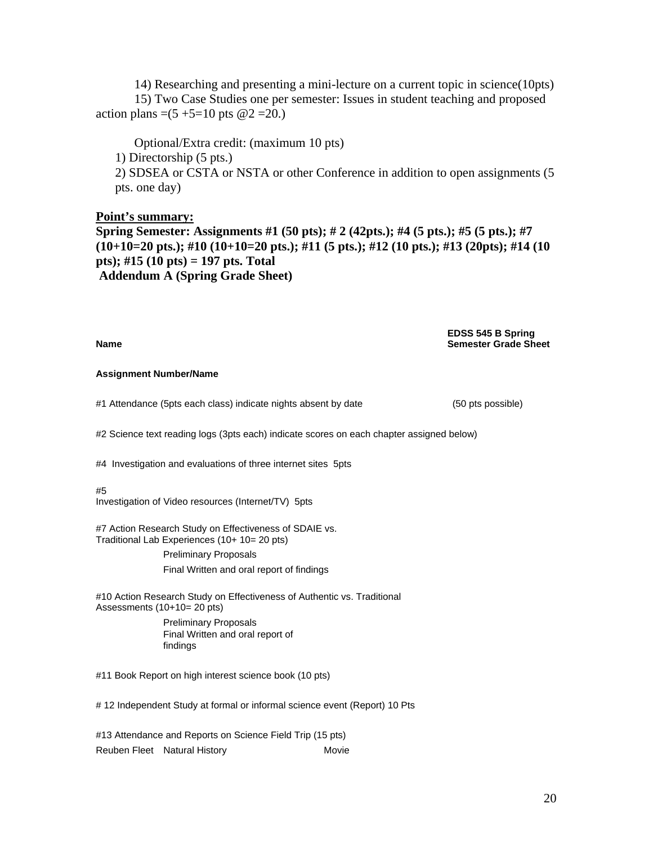14) Researching and presenting a mini-lecture on a current topic in science(10pts) 15) Two Case Studies one per semester: Issues in student teaching and proposed action plans =(5 +5=10 pts  $@2 = 20$ .)

Optional/Extra credit: (maximum 10 pts) 1) Directorship (5 pts.) 2) SDSEA or CSTA or NSTA or other Conference in addition to open assignments (5 pts. one day)

**Point's summary: Spring Semester: Assignments #1 (50 pts); # 2 (42pts.); #4 (5 pts.); #5 (5 pts.); #7 (10+10=20 pts.); #10 (10+10=20 pts.); #11 (5 pts.); #12 (10 pts.); #13 (20pts); #14 (10 pts); #15 (10 pts) = 197 pts. Total Addendum A (Spring Grade Sheet)** 

#### **EDSS 545 B Spring Name Semester Grade Sheet Semester Grade Sheet**

#### **Assignment Number/Name**

#1 Attendance (5pts each class) indicate nights absent by date (50 pts possible)

#2 Science text reading logs (3pts each) indicate scores on each chapter assigned below)

#4 Investigation and evaluations of three internet sites 5pts

#### #5

Investigation of Video resources (Internet/TV) 5pts

**Preliminary Proposals** #7 Action Research Study on Effectiveness of SDAIE vs. Traditional Lab Experiences (10+ 10= 20 pts) Final Written and oral report of findings

#10 Action Research Study on Effectiveness of Authentic vs. Traditional Assessments (10+10= 20 pts)

 Preliminary Proposals findings Final Written and oral report of

#11 Book Report on high interest science book (10 pts)

# 12 Independent Study at formal or informal science event (Report) 10 Pts

Movie #13 Attendance and Reports on Science Field Trip (15 pts) Reuben Fleet Natural History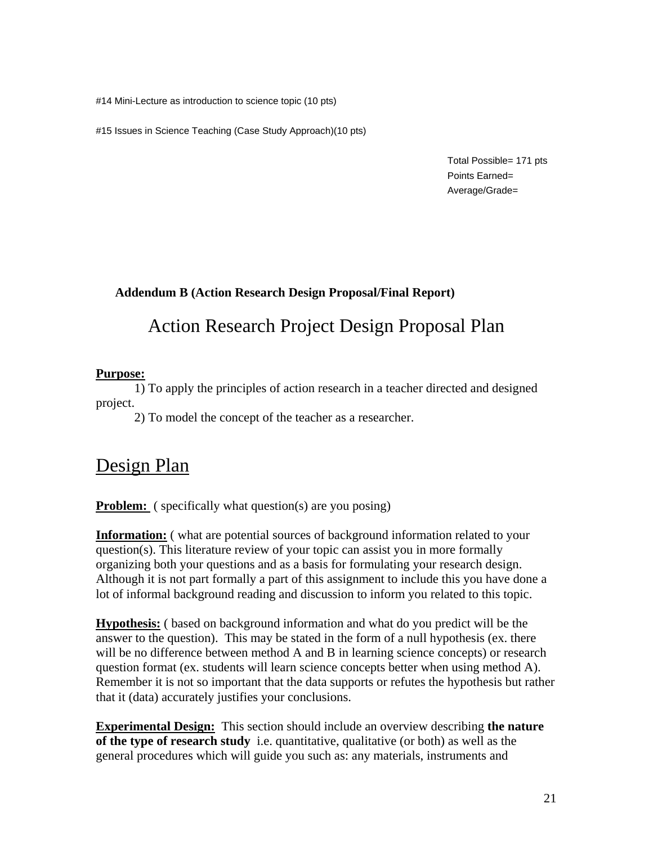#14 Mini-Lecture as introduction to science topic (10 pts)

#15 Issues in Science Teaching (Case Study Approach)(10 pts)

Total Possible= 171 pts Points Earned= Average/Grade=

## **Addendum B (Action Research Design Proposal/Final Report)**

# Action Research Project Design Proposal Plan

#### **Purpose:**

1) To apply the principles of action research in a teacher directed and designed project.

2) To model the concept of the teacher as a researcher.

# Design Plan

**Problem:** ( specifically what question(s) are you posing)

**Information:** ( what are potential sources of background information related to your question(s). This literature review of your topic can assist you in more formally organizing both your questions and as a basis for formulating your research design. Although it is not part formally a part of this assignment to include this you have done a lot of informal background reading and discussion to inform you related to this topic.

**Hypothesis:** ( based on background information and what do you predict will be the answer to the question). This may be stated in the form of a null hypothesis (ex. there will be no difference between method A and B in learning science concepts) or research question format (ex. students will learn science concepts better when using method A). Remember it is not so important that the data supports or refutes the hypothesis but rather that it (data) accurately justifies your conclusions.

**Experimental Design:** This section should include an overview describing **the nature of the type of research study** i.e. quantitative, qualitative (or both) as well as the general procedures which will guide you such as: any materials, instruments and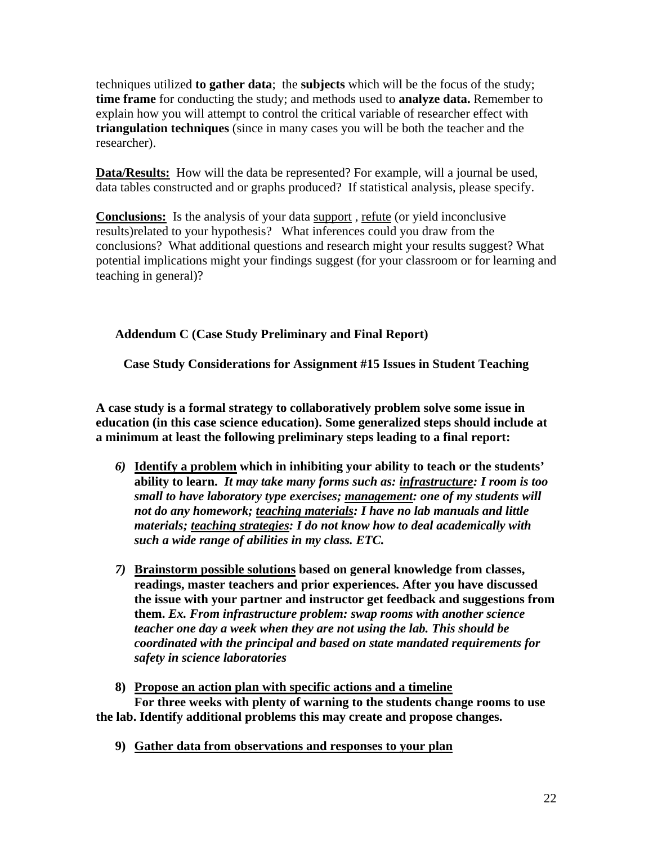techniques utilized **to gather data**; the **subjects** which will be the focus of the study; **time frame** for conducting the study; and methods used to **analyze data.** Remember to explain how you will attempt to control the critical variable of researcher effect with **triangulation techniques** (since in many cases you will be both the teacher and the researcher).

**Data/Results:** How will the data be represented? For example, will a journal be used, data tables constructed and or graphs produced? If statistical analysis, please specify.

**Conclusions:** Is the analysis of your data support , refute (or yield inconclusive results)related to your hypothesis? What inferences could you draw from the conclusions? What additional questions and research might your results suggest? What potential implications might your findings suggest (for your classroom or for learning and teaching in general)?

**Addendum C (Case Study Preliminary and Final Report)** 

**Case Study Considerations for Assignment #15 Issues in Student Teaching** 

**A case study is a formal strategy to collaboratively problem solve some issue in education (in this case science education). Some generalized steps should include at a minimum at least the following preliminary steps leading to a final report:** 

- *6)* **Identify a problem which in inhibiting your ability to teach or the students' ability to learn.** *It may take many forms such as: infrastructure: I room is too small to have laboratory type exercises; management: one of my students will not do any homework; teaching materials: I have no lab manuals and little materials; teaching strategies: I do not know how to deal academically with such a wide range of abilities in my class. ETC.*
- *7)* **Brainstorm possible solutions based on general knowledge from classes, readings, master teachers and prior experiences. After you have discussed the issue with your partner and instructor get feedback and suggestions from them.** *Ex. From infrastructure problem: swap rooms with another science teacher one day a week when they are not using the lab. This should be coordinated with the principal and based on state mandated requirements for safety in science laboratories*
- **8) Propose an action plan with specific actions and a timeline For three weeks with plenty of warning to the students change rooms to use the lab. Identify additional problems this may create and propose changes.** 
	- **9) Gather data from observations and responses to your plan**